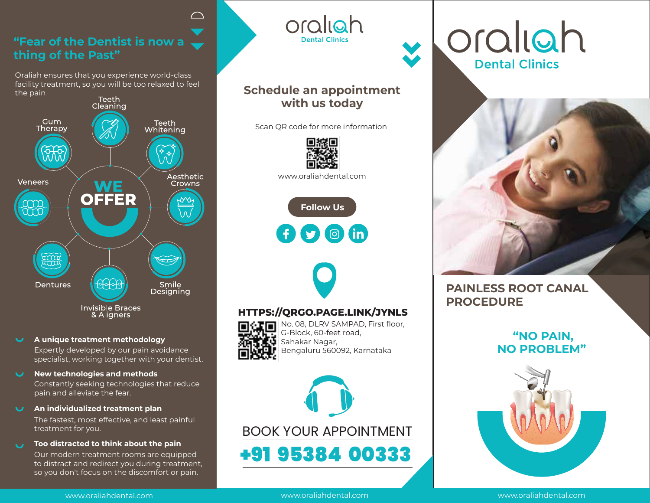# **"Fear of the Dentist is now a thing of the Past"**

 $\curvearrowright$ 

Oraliah ensures that you experience world-class facility treatment, so you will be too relaxed to feel the pain



### **A unique treatment methodology**  $\mathbf{U}$

Expertly developed by our pain avoidance specialist, working together with your dentist.

**New technologies and methods**

Constantly seeking technologies that reduce pain and alleviate the fear.

**An individualized treatment plan**

The fastest, most effective, and least painful treatment for you.

**Too distracted to think about the pain**

Our modern treatment rooms are equipped to distract and redirect you during treatment, so you don't focus on the discomfort or pain.

## **Schedule an appointment with us today**

oraliah

**Dental Clinics** 

Scan QR code for more information



www.oraliahdental.com





### **HTTPS://QRGO.PAGE.LINK/JYNLS**



No. 08, DLRV SAMPAD, First floor, G-Block, 60-feet road,  $\left[\mathbf{U}\right]$  Sahakar Nagar, Bengaluru 560092, Karnataka



oraliah **Dental Clinics** 



# **PAINLESS ROOT CANAL PROCEDURE**

# **"NO PAIN, NO PROBLEM"**



www.oraliahdental.com

www.oraliahdental.com www.oraliahdental.com